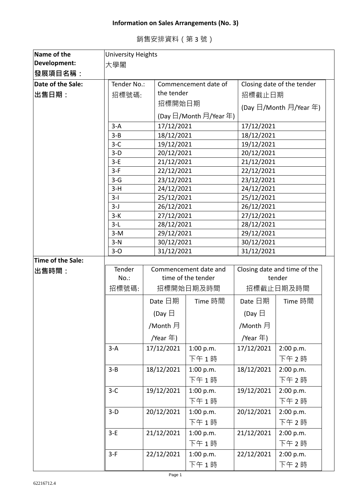## **Information on Sales Arrangements (No. 3)**

| Name of the       | <b>University Heights</b>                                         |                          |                          |                              |                                          |  |
|-------------------|-------------------------------------------------------------------|--------------------------|--------------------------|------------------------------|------------------------------------------|--|
| Development:      | 大學閣                                                               |                          |                          |                              |                                          |  |
| 發展項目名稱:           |                                                                   |                          |                          |                              |                                          |  |
| Date of the Sale: | Closing date of the tender<br>Tender No.:<br>Commencement date of |                          |                          |                              |                                          |  |
| 出售日期:             | 招標號碼:                                                             |                          | the tender               |                              | 招標截止日期                                   |  |
|                   |                                                                   |                          | 招標開始日期                   |                              |                                          |  |
|                   |                                                                   |                          |                          |                              | (Day $\boxdot$ /Month $\boxdot$ /Year 年) |  |
|                   |                                                                   |                          | (Day 日/Month 月/Year 年)   |                              |                                          |  |
|                   | $3-A$                                                             | 17/12/2021               |                          | 17/12/2021                   |                                          |  |
|                   | $3 - B$                                                           | 18/12/2021               |                          | 18/12/2021                   |                                          |  |
|                   | $3-C$                                                             | 19/12/2021               |                          | 19/12/2021                   |                                          |  |
|                   | $3-D$<br>$3-E$                                                    | 20/12/2021               |                          | 20/12/2021                   |                                          |  |
|                   | $3-F$                                                             | 21/12/2021<br>22/12/2021 |                          | 21/12/2021<br>22/12/2021     |                                          |  |
|                   | $3-G$                                                             | 23/12/2021               |                          | 23/12/2021                   |                                          |  |
|                   | $3-H$                                                             | 24/12/2021               |                          | 24/12/2021                   |                                          |  |
|                   | $3-I$                                                             | 25/12/2021               |                          | 25/12/2021                   |                                          |  |
|                   | $3-J$                                                             | 26/12/2021               |                          | 26/12/2021                   |                                          |  |
|                   | $3-K$                                                             | 27/12/2021               |                          | 27/12/2021                   |                                          |  |
|                   | $3-L$                                                             | 28/12/2021               |                          | 28/12/2021                   |                                          |  |
|                   | $3-M$                                                             |                          | 29/12/2021<br>30/12/2021 |                              | 29/12/2021<br>30/12/2021                 |  |
|                   | $3-N$                                                             |                          |                          |                              |                                          |  |
|                   | $3-0$                                                             | 31/12/2021               |                          | 31/12/2021                   |                                          |  |
| Time of the Sale: |                                                                   |                          |                          |                              |                                          |  |
| 出售時間:             | Tender                                                            |                          | Commencement date and    | Closing date and time of the |                                          |  |
|                   | $No.$ :                                                           |                          | time of the tender       | tender                       |                                          |  |
|                   | 招標號碼:                                                             |                          | 招標開始日期及時間                |                              | 招標截止日期及時間                                |  |
|                   |                                                                   | Date 日期                  | Time 時間                  | Date 日期                      | Time 時間                                  |  |
|                   |                                                                   | (Day $\boxminus$         |                          | (Day $\boxminus$             |                                          |  |
|                   |                                                                   | /Month 月                 |                          | /Month 月                     |                                          |  |
|                   |                                                                   | /Year 年)                 |                          | /Year 年)                     |                                          |  |
|                   | $3-A$                                                             | 17/12/2021               | 1:00 p.m.                | 17/12/2021                   | 2:00 p.m.                                |  |
|                   |                                                                   |                          | 下午1時                     |                              | 下午 2時                                    |  |
|                   | $3 - B$                                                           | 18/12/2021               | 1:00 p.m.                | 18/12/2021                   | 2:00 p.m.                                |  |
|                   |                                                                   |                          | 下午1時                     |                              | 下午 2時                                    |  |
|                   | $3-C$                                                             | 19/12/2021               | 1:00 p.m.                | 19/12/2021                   | 2:00 p.m.                                |  |
|                   |                                                                   |                          | 下午1時                     |                              | 下午 2時                                    |  |
|                   | $3-D$                                                             | 20/12/2021               | 1:00 p.m.                | 20/12/2021                   | 2:00 p.m.                                |  |
|                   |                                                                   |                          | 下午1時                     |                              | 下午2時                                     |  |
|                   | $3-E$                                                             | 21/12/2021               | 1:00 p.m.                | 21/12/2021                   | 2:00 p.m.                                |  |
|                   |                                                                   |                          | 下午1時                     |                              | 下午 2時                                    |  |
|                   | $3-F$                                                             | 22/12/2021               | 1:00 p.m.                | 22/12/2021                   | 2:00 p.m.                                |  |
|                   |                                                                   |                          | 下午 1 時                   |                              | 下午 2 時                                   |  |
|                   |                                                                   |                          |                          |                              |                                          |  |

銷售安排資料(第 3 號)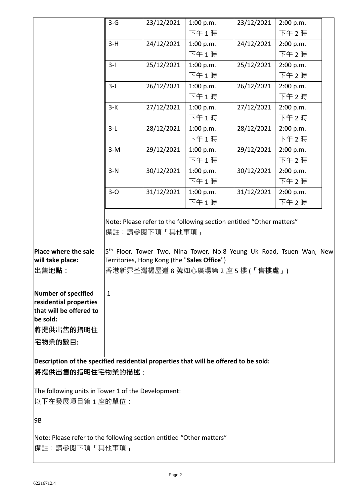|                                                                                         | $3-G$                                                                                      | 23/12/2021     | 1:00 p.m.                                                                                                                                                | 23/12/2021 | 2:00 p.m. |  |
|-----------------------------------------------------------------------------------------|--------------------------------------------------------------------------------------------|----------------|----------------------------------------------------------------------------------------------------------------------------------------------------------|------------|-----------|--|
|                                                                                         |                                                                                            |                | 下午1時                                                                                                                                                     |            | 下午 2時     |  |
|                                                                                         | $3-H$                                                                                      | 24/12/2021     | 1:00 p.m.                                                                                                                                                | 24/12/2021 | 2:00 p.m. |  |
|                                                                                         |                                                                                            |                | 下午1時                                                                                                                                                     |            | 下午 2時     |  |
|                                                                                         | $3-I$                                                                                      | 25/12/2021     | 1:00 p.m.                                                                                                                                                | 25/12/2021 | 2:00 p.m. |  |
|                                                                                         |                                                                                            |                | 下午1時                                                                                                                                                     |            | 下午 2時     |  |
|                                                                                         | $3-J$                                                                                      | 26/12/2021     | 1:00 p.m.                                                                                                                                                | 26/12/2021 | 2:00 p.m. |  |
|                                                                                         |                                                                                            |                | 下午1時                                                                                                                                                     |            | 下午2時      |  |
|                                                                                         | $3-K$                                                                                      | 27/12/2021     | 1:00 p.m.                                                                                                                                                | 27/12/2021 | 2:00 p.m. |  |
|                                                                                         |                                                                                            |                | 下午1時                                                                                                                                                     |            | 下午 2時     |  |
|                                                                                         | $3-L$                                                                                      | 28/12/2021     | 1:00 p.m.                                                                                                                                                | 28/12/2021 | 2:00 p.m. |  |
|                                                                                         |                                                                                            |                | 下午1時                                                                                                                                                     |            | 下午 2時     |  |
|                                                                                         | $3-M$                                                                                      | 29/12/2021     | 1:00 p.m.                                                                                                                                                | 29/12/2021 | 2:00 p.m. |  |
|                                                                                         |                                                                                            |                | 下午1時                                                                                                                                                     |            | 下午 2時     |  |
|                                                                                         | $3-N$                                                                                      | 30/12/2021     | 1:00 p.m.                                                                                                                                                | 30/12/2021 | 2:00 p.m. |  |
|                                                                                         |                                                                                            |                | 下午1時                                                                                                                                                     |            | 下午 2時     |  |
|                                                                                         | $3-0$                                                                                      | 31/12/2021     | 1:00 p.m.                                                                                                                                                | 31/12/2021 | 2:00 p.m. |  |
|                                                                                         |                                                                                            |                | 下午1時                                                                                                                                                     |            | 下午 2時     |  |
| Place where the sale                                                                    |                                                                                            | 備註:請參閱下項「其他事項」 | Note: Please refer to the following section entitled "Other matters"<br>5 <sup>th</sup> Floor, Tower Two, Nina Tower, No.8 Yeung Uk Road, Tsuen Wan, New |            |           |  |
| will take place:<br>出售地點:                                                               | Territories, Hong Kong (the "Sales Office")<br>香港新界荃灣楊屋道 8 號如心廣場第 2 座 5 樓 (「 <b>售樓處</b> 」) |                |                                                                                                                                                          |            |           |  |
| Number of specified<br>residential properties<br>that will be offered to<br>be sold:    | $\mathbf{1}$                                                                               |                |                                                                                                                                                          |            |           |  |
| <b> 將提供出售的指明住</b>                                                                       |                                                                                            |                |                                                                                                                                                          |            |           |  |
| 宅物業的數目:                                                                                 |                                                                                            |                |                                                                                                                                                          |            |           |  |
| Description of the specified residential properties that will be offered to be sold:    |                                                                                            |                |                                                                                                                                                          |            |           |  |
| <b> 將提供出售的指明住宅物業的描述:</b>                                                                |                                                                                            |                |                                                                                                                                                          |            |           |  |
| The following units in Tower 1 of the Development:                                      |                                                                                            |                |                                                                                                                                                          |            |           |  |
| 以下在發展項目第1座的單位:                                                                          |                                                                                            |                |                                                                                                                                                          |            |           |  |
| 9B                                                                                      |                                                                                            |                |                                                                                                                                                          |            |           |  |
| Note: Please refer to the following section entitled "Other matters"<br> 備註:請參閱下項「其他事項」 |                                                                                            |                |                                                                                                                                                          |            |           |  |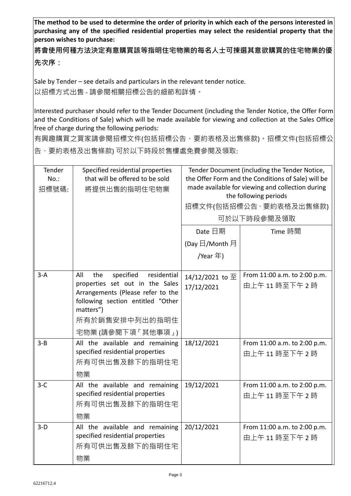**The method to be used to determine the order of priority in which each of the persons interested in purchasing any of the specified residential properties may select the residential property that the person wishes to purchase:** 

**將會使用何種方法決定有意購買該等指明住宅物業的每名人士可揀選其意欲購買的住宅物業的優 先次序:**

Sale by Tender – see details and particulars in the relevant tender notice. 以招標方式出售 - 請參閱相關招標公告的細節和詳情。

Interested purchaser should refer to the Tender Document (including the Tender Notice, the Offer Form and the Conditions of Sale) which will be made available for viewing and collection at the Sales Office free of charge during the following periods:

有興趣購買之買家請參閱招標文件(包括招標公告、要約表格及出售條款)。招標文件(包括招標公 告、要約表格及出售條款) 可於以下時段於售樓處免費參閱及領取:

| Tender<br>$No.$ :<br>招標號碼: | Specified residential properties<br>that will be offered to be sold<br>將提供出售的指明住宅物業                                                                                                                     | Tender Document (including the Tender Notice,<br>the Offer Form and the Conditions of Sale) will be<br>made available for viewing and collection during<br>the following periods<br>招標文件(包括招標公告、要約表格及出售條款)<br>可於以下時段參閱及領取 |                                             |
|----------------------------|---------------------------------------------------------------------------------------------------------------------------------------------------------------------------------------------------------|---------------------------------------------------------------------------------------------------------------------------------------------------------------------------------------------------------------------------|---------------------------------------------|
|                            |                                                                                                                                                                                                         | Date 日期<br>(Day 日/Month 月<br>/Year 年)                                                                                                                                                                                     | Time 時間                                     |
| $3-A$                      | residential<br>All<br>specified<br>the<br>properties set out in the Sales<br>Arrangements (Please refer to the<br>following section entitled "Other<br>matters")<br>所有於銷售安排中列出的指明住<br>宅物業 (請參閱下項「其他事項」) | 14/12/2021 to 至<br>17/12/2021                                                                                                                                                                                             | From 11:00 a.m. to 2:00 p.m.<br>由上午11時至下午2時 |
| $3 - B$                    | All the available and remaining<br>specified residential properties<br>所有可供出售及餘下的指明住宅<br>物業                                                                                                             | 18/12/2021                                                                                                                                                                                                                | From 11:00 a.m. to 2:00 p.m.<br>由上午11時至下午2時 |
| $3-C$                      | All the available and remaining<br>specified residential properties<br>所有可供出售及餘下的指明住宅<br>物業                                                                                                             | 19/12/2021                                                                                                                                                                                                                | From 11:00 a.m. to 2:00 p.m.<br>由上午11時至下午2時 |
| $3-D$                      | All the available and remaining<br>specified residential properties<br>所有可供出售及餘下的指明住宅<br>物業                                                                                                             | 20/12/2021                                                                                                                                                                                                                | From 11:00 a.m. to 2:00 p.m.<br>由上午11時至下午2時 |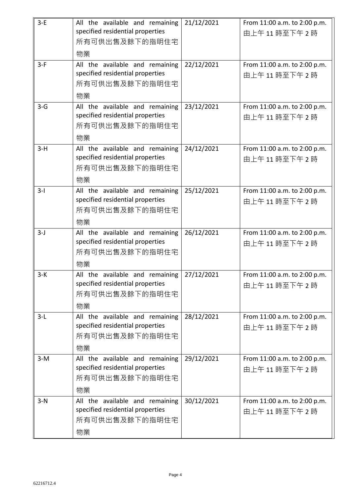| $3-E$ | All the available and remaining<br>specified residential properties | 21/12/2021 | From 11:00 a.m. to 2:00 p.m.                |
|-------|---------------------------------------------------------------------|------------|---------------------------------------------|
|       | 所有可供出售及餘下的指明住宅                                                      |            | 由上午11時至下午2時                                 |
|       | 物業                                                                  |            |                                             |
| $3-F$ | All the available and remaining                                     | 22/12/2021 | From 11:00 a.m. to 2:00 p.m.                |
|       | specified residential properties                                    |            | 由上午11時至下午2時                                 |
|       | 所有可供出售及餘下的指明住宅<br>物業                                                |            |                                             |
| $3-G$ | All the available and remaining                                     | 23/12/2021 | From 11:00 a.m. to 2:00 p.m.                |
|       | specified residential properties                                    |            | 由上午11時至下午2時                                 |
|       | 所有可供出售及餘下的指明住宅                                                      |            |                                             |
|       | 物業                                                                  |            |                                             |
| $3-H$ | All the available and remaining                                     | 24/12/2021 | From 11:00 a.m. to 2:00 p.m.                |
|       | specified residential properties<br>所有可供出售及餘下的指明住宅                  |            | 由上午11時至下午2時                                 |
|       | 物業                                                                  |            |                                             |
| $3-I$ | All the available and remaining                                     | 25/12/2021 | From 11:00 a.m. to 2:00 p.m.                |
|       | specified residential properties                                    |            | 由上午11時至下午2時                                 |
|       | 所有可供出售及餘下的指明住宅                                                      |            |                                             |
|       | 物業                                                                  |            |                                             |
| $3-J$ | All the available and remaining                                     | 26/12/2021 | From 11:00 a.m. to 2:00 p.m.                |
|       | specified residential properties<br>所有可供出售及餘下的指明住宅                  |            | 由上午11時至下午2時                                 |
|       | 物業                                                                  |            |                                             |
| $3-K$ | All the available and remaining                                     | 27/12/2021 | From 11:00 a.m. to 2:00 p.m.                |
|       | specified residential properties                                    |            | 由上午11時至下午2時                                 |
|       | 所有可供出售及餘下的指明住宅                                                      |            |                                             |
| $3-L$ | 物業<br>All the available and remaining                               | 28/12/2021 | From 11:00 a.m. to 2:00 p.m.                |
|       | specified residential properties                                    |            | 由上午11時至下午2時                                 |
|       | 所有可供出售及餘下的指明住宅                                                      |            |                                             |
|       | 物業                                                                  |            |                                             |
| $3-M$ | All the available and remaining                                     | 29/12/2021 | From 11:00 a.m. to 2:00 p.m.                |
|       | specified residential properties                                    |            | 由上午11時至下午2時                                 |
|       | 所有可供出售及餘下的指明住宅                                                      |            |                                             |
| $3-N$ | 物業<br>All the available and remaining                               | 30/12/2021 |                                             |
|       | specified residential properties                                    |            | From 11:00 a.m. to 2:00 p.m.<br>由上午11時至下午2時 |
|       | 所有可供出售及餘下的指明住宅                                                      |            |                                             |
|       | 物業                                                                  |            |                                             |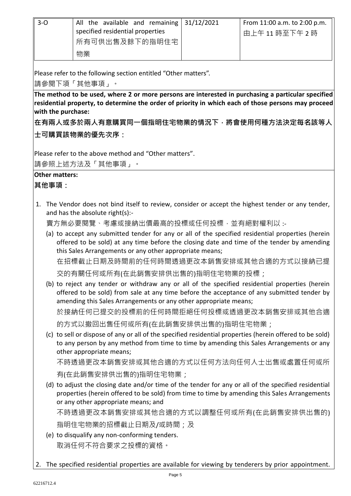| $3-0$ | All the available and remaining $31/12/2021$<br>specified residential properties | From 11:00 a.m. to 2:00 p.m.<br>由上午 11 時至下午 2 時 |
|-------|----------------------------------------------------------------------------------|-------------------------------------------------|
|       | 所有可供出售及餘下的指明住宅                                                                   |                                                 |
|       | 物業                                                                               |                                                 |

Please refer to the following section entitled "Other matters".

請參閱下項「其他事項」。

**The method to be used, where 2 or more persons are interested in purchasing a particular specified residential property, to determine the order of priority in which each of those persons may proceed with the purchase:**

**在有兩人或多於兩人有意購買同一個指明住宅物業的情況下,將會使用何種方法決定每名該等人 士可購買該物業的優先次序:**

Please refer to the above method and "Other matters".

請參照上述方法及「其他事項」。

## **Other matters:**

**其他事項:**

1. The Vendor does not bind itself to review, consider or accept the highest tender or any tender, and has the absolute right(s):-

賣方無必要閱覽、考慮或接納出價最高的投標或任何投標, 並有絕對權利以 :-

- (a) to accept any submitted tender for any or all of the specified residential properties (herein offered to be sold) at any time before the closing date and time of the tender by amending this Sales Arrangements or any other appropriate means; 在招標截止日期及時間前的任何時間透過更改本銷售安排或其他合適的方式以接納已提 交的有關任何或所有(在此銷售安排供出售的)指明住宅物業的投標;
- (b) to reject any tender or withdraw any or all of the specified residential properties (herein offered to be sold) from sale at any time before the acceptance of any submitted tender by amending this Sales Arrangements or any other appropriate means; 於接納任何已提交的投標前的任何時間拒絕任何投標或透過更改本銷售安排或其他合適 的方式以撤回出售任何或所有(在此銷售安排供出售的)指明住宅物業;
- (c) to sell or dispose of any or all of the specified residential properties (herein offered to be sold) to any person by any method from time to time by amending this Sales Arrangements or any other appropriate means;

不時透過更改本銷售安排或其他合適的方式以任何方法向任何人士出售或處置任何或所 有(在此銷售安排供出售的)指明住宅物業;

(d) to adjust the closing date and/or time of the tender for any or all of the specified residential properties (herein offered to be sold) from time to time by amending this Sales Arrangements or any other appropriate means; and 不時透過更改本銷售安排或其他合適的方式以調整任何或所有(在此銷售安排供出售的)

指明住宅物業的招標截止日期及/或時間;及

- (e) to disqualify any non-conforming tenders. 取消任何不符合要求之投標的資格。
- 2. The specified residential properties are available for viewing by tenderers by prior appointment.